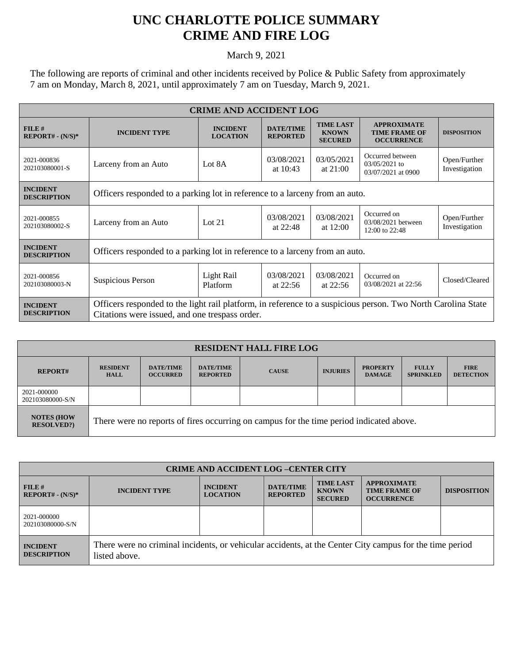## **UNC CHARLOTTE POLICE SUMMARY CRIME AND FIRE LOG**

March 9, 2021

The following are reports of criminal and other incidents received by Police & Public Safety from approximately 7 am on Monday, March 8, 2021, until approximately 7 am on Tuesday, March 9, 2021.

| <b>CRIME AND ACCIDENT LOG</b>         |                                                                                                                                                                |                                    |                                     |                                                    |                                                                 |                               |  |
|---------------------------------------|----------------------------------------------------------------------------------------------------------------------------------------------------------------|------------------------------------|-------------------------------------|----------------------------------------------------|-----------------------------------------------------------------|-------------------------------|--|
| FILE#<br>$REPORT# - (N/S)*$           | <b>INCIDENT TYPE</b>                                                                                                                                           | <b>INCIDENT</b><br><b>LOCATION</b> | <b>DATE/TIME</b><br><b>REPORTED</b> | <b>TIME LAST</b><br><b>KNOWN</b><br><b>SECURED</b> | <b>APPROXIMATE</b><br><b>TIME FRAME OF</b><br><b>OCCURRENCE</b> | <b>DISPOSITION</b>            |  |
| 2021-000836<br>202103080001-S         | Larceny from an Auto                                                                                                                                           | Lot 8A                             | 03/08/2021<br>at $10:43$            | 03/05/2021<br>at $21:00$                           | Occurred between<br>$03/05/2021$ to<br>03/07/2021 at 0900       | Open/Further<br>Investigation |  |
| <b>INCIDENT</b><br><b>DESCRIPTION</b> | Officers responded to a parking lot in reference to a larceny from an auto.                                                                                    |                                    |                                     |                                                    |                                                                 |                               |  |
| 2021-000855<br>202103080002-S         | Larceny from an Auto                                                                                                                                           | Lot $21$                           | 03/08/2021<br>at $22:48$            | 03/08/2021<br>at $12:00$                           | Occurred on<br>03/08/2021 between<br>12:00 to 22:48             | Open/Further<br>Investigation |  |
| <b>INCIDENT</b><br><b>DESCRIPTION</b> | Officers responded to a parking lot in reference to a larceny from an auto.                                                                                    |                                    |                                     |                                                    |                                                                 |                               |  |
| 2021-000856<br>202103080003-N         | Suspicious Person                                                                                                                                              | Light Rail<br>Platform             | 03/08/2021<br>at $22:56$            | 03/08/2021<br>at $22:56$                           | Occurred on<br>03/08/2021 at 22:56                              | Closed/Cleared                |  |
| <b>INCIDENT</b><br><b>DESCRIPTION</b> | Officers responded to the light rail platform, in reference to a suspicious person. Two North Carolina State<br>Citations were issued, and one trespass order. |                                    |                                     |                                                    |                                                                 |                               |  |

| <b>RESIDENT HALL FIRE LOG</b>         |                                                                                         |                                     |                                     |              |                 |                                  |                                  |                                 |
|---------------------------------------|-----------------------------------------------------------------------------------------|-------------------------------------|-------------------------------------|--------------|-----------------|----------------------------------|----------------------------------|---------------------------------|
| <b>REPORT#</b>                        | <b>RESIDENT</b><br><b>HALL</b>                                                          | <b>DATE/TIME</b><br><b>OCCURRED</b> | <b>DATE/TIME</b><br><b>REPORTED</b> | <b>CAUSE</b> | <b>INJURIES</b> | <b>PROPERTY</b><br><b>DAMAGE</b> | <b>FULLY</b><br><b>SPRINKLED</b> | <b>FIRE</b><br><b>DETECTION</b> |
| 2021-000000<br>202103080000-S/N       |                                                                                         |                                     |                                     |              |                 |                                  |                                  |                                 |
| <b>NOTES (HOW</b><br><b>RESOLVED?</b> | There were no reports of fires occurring on campus for the time period indicated above. |                                     |                                     |              |                 |                                  |                                  |                                 |

| <b>CRIME AND ACCIDENT LOG-CENTER CITY</b> |                                                                                                                          |                                    |                                     |                                                    |                                                                 |                    |
|-------------------------------------------|--------------------------------------------------------------------------------------------------------------------------|------------------------------------|-------------------------------------|----------------------------------------------------|-----------------------------------------------------------------|--------------------|
| $FILE$ #<br>$REPORT# - (N/S)*$            | <b>INCIDENT TYPE</b>                                                                                                     | <b>INCIDENT</b><br><b>LOCATION</b> | <b>DATE/TIME</b><br><b>REPORTED</b> | <b>TIME LAST</b><br><b>KNOWN</b><br><b>SECURED</b> | <b>APPROXIMATE</b><br><b>TIME FRAME OF</b><br><b>OCCURRENCE</b> | <b>DISPOSITION</b> |
| 2021-000000<br>202103080000-S/N           |                                                                                                                          |                                    |                                     |                                                    |                                                                 |                    |
| <b>INCIDENT</b><br><b>DESCRIPTION</b>     | There were no criminal incidents, or vehicular accidents, at the Center City campus for the time period<br>listed above. |                                    |                                     |                                                    |                                                                 |                    |